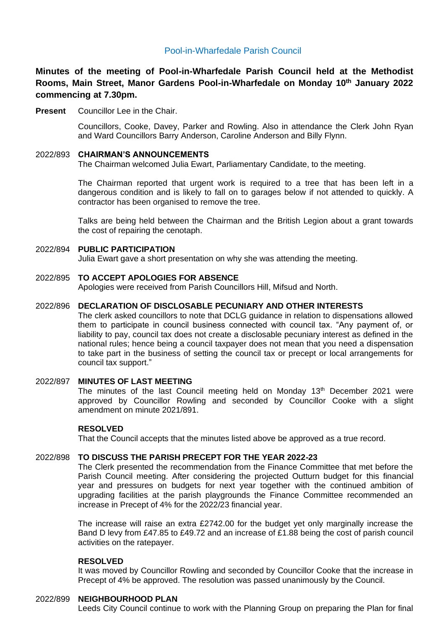# Pool-in-Wharfedale Parish Council

**Minutes of the meeting of Pool-in-Wharfedale Parish Council held at the Methodist Rooms, Main Street, Manor Gardens Pool-in-Wharfedale on Monday 10 th January 2022 commencing at 7.30pm.** 

**Present** Councillor Lee in the Chair.

Councillors, Cooke, Davey, Parker and Rowling. Also in attendance the Clerk John Ryan and Ward Councillors Barry Anderson, Caroline Anderson and Billy Flynn.

### 2022/893 **CHAIRMAN'S ANNOUNCEMENTS**

The Chairman welcomed Julia Ewart, Parliamentary Candidate, to the meeting.

The Chairman reported that urgent work is required to a tree that has been left in a dangerous condition and is likely to fall on to garages below if not attended to quickly. A contractor has been organised to remove the tree.

Talks are being held between the Chairman and the British Legion about a grant towards the cost of repairing the cenotaph.

#### 2022/894 **PUBLIC PARTICIPATION**

Julia Ewart gave a short presentation on why she was attending the meeting.

#### 2022/895 **TO ACCEPT APOLOGIES FOR ABSENCE**

Apologies were received from Parish Councillors Hill, Mifsud and North.

# 2022/896 **DECLARATION OF DISCLOSABLE PECUNIARY AND OTHER INTERESTS**

The clerk asked councillors to note that DCLG guidance in relation to dispensations allowed them to participate in council business connected with council tax. "Any payment of, or liability to pay, council tax does not create a disclosable pecuniary interest as defined in the national rules; hence being a council taxpayer does not mean that you need a dispensation to take part in the business of setting the council tax or precept or local arrangements for council tax support."

#### 2022/897 **MINUTES OF LAST MEETING**

The minutes of the last Council meeting held on Monday  $13<sup>th</sup>$  December 2021 were approved by Councillor Rowling and seconded by Councillor Cooke with a slight amendment on minute 2021/891.

### **RESOLVED**

That the Council accepts that the minutes listed above be approved as a true record.

#### 2022/898 **TO DISCUSS THE PARISH PRECEPT FOR THE YEAR 2022-23**

The Clerk presented the recommendation from the Finance Committee that met before the Parish Council meeting. After considering the projected Outturn budget for this financial year and pressures on budgets for next year together with the continued ambition of upgrading facilities at the parish playgrounds the Finance Committee recommended an increase in Precept of 4% for the 2022/23 financial year.

The increase will raise an extra £2742.00 for the budget yet only marginally increase the Band D levy from £47.85 to £49.72 and an increase of £1.88 being the cost of parish council activities on the ratepayer.

### **RESOLVED**

It was moved by Councillor Rowling and seconded by Councillor Cooke that the increase in Precept of 4% be approved. The resolution was passed unanimously by the Council.

#### 2022/899 **NEIGHBOURHOOD PLAN**

Leeds City Council continue to work with the Planning Group on preparing the Plan for final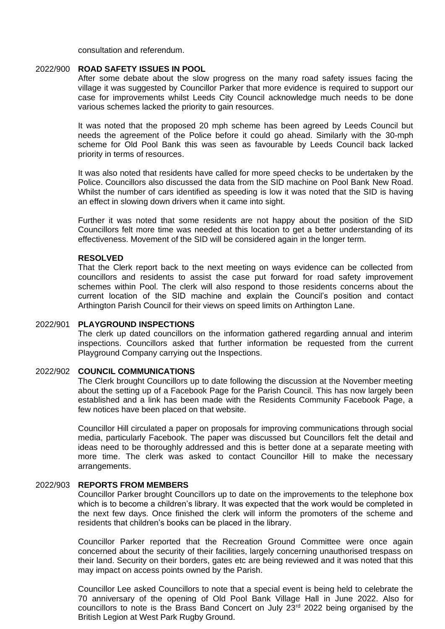consultation and referendum.

#### 2022/900 **ROAD SAFETY ISSUES IN POOL**

After some debate about the slow progress on the many road safety issues facing the village it was suggested by Councillor Parker that more evidence is required to support our case for improvements whilst Leeds City Council acknowledge much needs to be done various schemes lacked the priority to gain resources.

It was noted that the proposed 20 mph scheme has been agreed by Leeds Council but needs the agreement of the Police before it could go ahead. Similarly with the 30-mph scheme for Old Pool Bank this was seen as favourable by Leeds Council back lacked priority in terms of resources.

It was also noted that residents have called for more speed checks to be undertaken by the Police. Councillors also discussed the data from the SID machine on Pool Bank New Road. Whilst the number of cars identified as speeding is low it was noted that the SID is having an effect in slowing down drivers when it came into sight.

Further it was noted that some residents are not happy about the position of the SID Councillors felt more time was needed at this location to get a better understanding of its effectiveness. Movement of the SID will be considered again in the longer term.

## **RESOLVED**

That the Clerk report back to the next meeting on ways evidence can be collected from councillors and residents to assist the case put forward for road safety improvement schemes within Pool. The clerk will also respond to those residents concerns about the current location of the SID machine and explain the Council's position and contact Arthington Parish Council for their views on speed limits on Arthington Lane.

## 2022/901 **PLAYGROUND INSPECTIONS**

The clerk up dated councillors on the information gathered regarding annual and interim inspections. Councillors asked that further information be requested from the current Playground Company carrying out the Inspections.

## 2022/902 **COUNCIL COMMUNICATIONS**

The Clerk brought Councillors up to date following the discussion at the November meeting about the setting up of a Facebook Page for the Parish Council. This has now largely been established and a link has been made with the Residents Community Facebook Page, a few notices have been placed on that website.

Councillor Hill circulated a paper on proposals for improving communications through social media, particularly Facebook. The paper was discussed but Councillors felt the detail and ideas need to be thoroughly addressed and this is better done at a separate meeting with more time. The clerk was asked to contact Councillor Hill to make the necessary arrangements.

#### 2022/903 **REPORTS FROM MEMBERS**

Councillor Parker brought Councillors up to date on the improvements to the telephone box which is to become a children's library. It was expected that the work would be completed in the next few days. Once finished the clerk will inform the promoters of the scheme and residents that children's books can be placed in the library.

Councillor Parker reported that the Recreation Ground Committee were once again concerned about the security of their facilities, largely concerning unauthorised trespass on their land. Security on their borders, gates etc are being reviewed and it was noted that this may impact on access points owned by the Parish.

Councillor Lee asked Councillors to note that a special event is being held to celebrate the 70 anniversary of the opening of Old Pool Bank Village Hall in June 2022. Also for councillors to note is the Brass Band Concert on July  $23<sup>rd</sup>$  2022 being organised by the British Legion at West Park Rugby Ground.